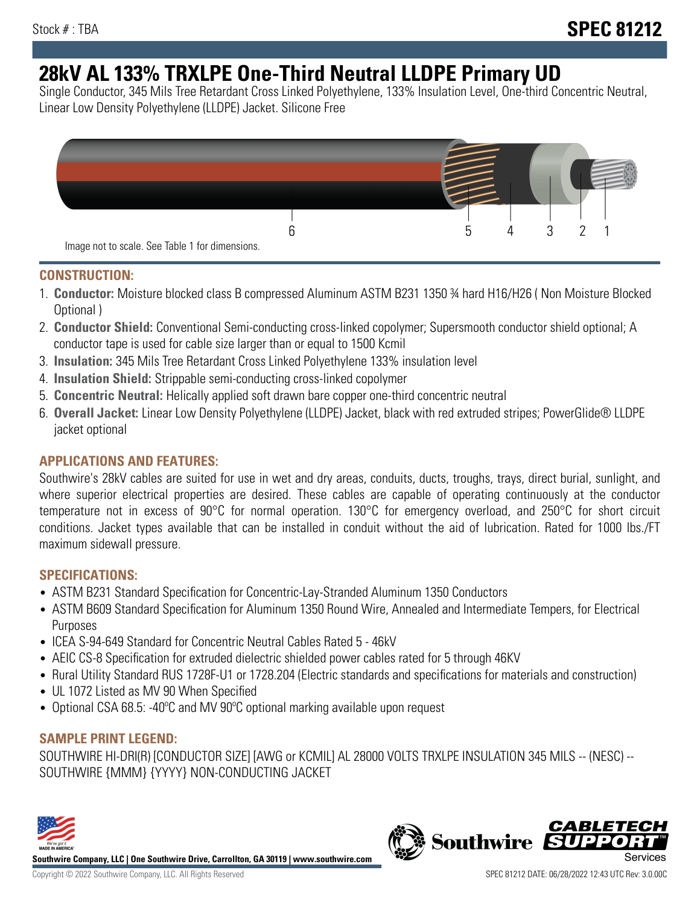# **28kV AL 133% TRXLPE One-Third Neutral LLDPE Primary UD**

Single Conductor, 345 Mils Tree Retardant Cross Linked Polyethylene, 133% Insulation Level, One-third Concentric Neutral, Linear Low Density Polyethylene (LLDPE) Jacket. Silicone Free



## **CONSTRUCTION:**

- 1. **Conductor:** Moisture blocked class B compressed Aluminum ASTM B231 1350 ¾ hard H16/H26 ( Non Moisture Blocked Optional )
- 2. **Conductor Shield:** Conventional Semi-conducting cross-linked copolymer; Supersmooth conductor shield optional; A conductor tape is used for cable size larger than or equal to 1500 Kcmil
- 3. **Insulation:** 345 Mils Tree Retardant Cross Linked Polyethylene 133% insulation level
- 4. **Insulation Shield:** Strippable semi-conducting cross-linked copolymer
- 5. **Concentric Neutral:** Helically applied soft drawn bare copper one-third concentric neutral
- 6. **Overall Jacket:** Linear Low Density Polyethylene (LLDPE) Jacket, black with red extruded stripes; PowerGlide® LLDPE jacket optional

# **APPLICATIONS AND FEATURES:**

Southwire's 28kV cables are suited for use in wet and dry areas, conduits, ducts, troughs, trays, direct burial, sunlight, and where superior electrical properties are desired. These cables are capable of operating continuously at the conductor temperature not in excess of 90°C for normal operation. 130°C for emergency overload, and 250°C for short circuit conditions. Jacket types available that can be installed in conduit without the aid of lubrication. Rated for 1000 lbs./FT maximum sidewall pressure.

## **SPECIFICATIONS:**

- ASTM B231 Standard Specification for Concentric-Lay-Stranded Aluminum 1350 Conductors
- ASTM B609 Standard Specification for Aluminum 1350 Round Wire, Annealed and Intermediate Tempers, for Electrical Purposes
- ICEA S-94-649 Standard for Concentric Neutral Cables Rated 5 46kV
- AEIC CS-8 Specification for extruded dielectric shielded power cables rated for 5 through 46KV
- Rural Utility Standard RUS 1728F-U1 or 1728.204 (Electric standards and specifications for materials and construction)
- UL 1072 Listed as MV 90 When Specified
- Optional CSA 68.5: -40ºC and MV 90ºC optional marking available upon request

## **SAMPLE PRINT LEGEND:**

SOUTHWIRE HI-DRI(R) [CONDUCTOR SIZE] [AWG or KCMIL] AL 28000 VOLTS TRXLPE INSULATION 345 MILS -- (NESC) -- SOUTHWIRE {MMM} {YYYY} NON-CONDUCTING JACKET



**Southwire Company, LLC | One Southwire Drive, Carrollton, GA 30119 | www.southwire.com**